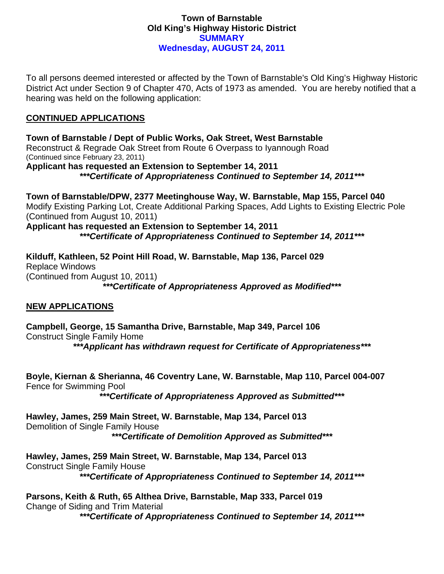## **Town of Barnstable Old King's Highway Historic District SUMMARY Wednesday, AUGUST 24, 2011**

To all persons deemed interested or affected by the Town of Barnstable's Old King's Highway Historic District Act under Section 9 of Chapter 470, Acts of 1973 as amended. You are hereby notified that a hearing was held on the following application:

## **CONTINUED APPLICATIONS**

**Town of Barnstable / Dept of Public Works, Oak Street, West Barnstable**  Reconstruct & Regrade Oak Street from Route 6 Overpass to Iyannough Road (Continued since February 23, 2011) **Applicant has requested an Extension to September 14, 2011**  *\*\*\*Certificate of Appropriateness Continued to September 14, 2011\*\*\** 

**Town of Barnstable/DPW, 2377 Meetinghouse Way, W. Barnstable, Map 155, Parcel 040**  Modify Existing Parking Lot, Create Additional Parking Spaces, Add Lights to Existing Electric Pole (Continued from August 10, 2011)

**Applicant has requested an Extension to September 14, 2011**  *\*\*\*Certificate of Appropriateness Continued to September 14, 2011\*\*\** 

**Kilduff, Kathleen, 52 Point Hill Road, W. Barnstable, Map 136, Parcel 029**  Replace Windows (Continued from August 10, 2011) *\*\*\*Certificate of Appropriateness Approved as Modified\*\*\** 

## **NEW APPLICATIONS**

**Campbell, George, 15 Samantha Drive, Barnstable, Map 349, Parcel 106**  Construct Single Family Home

*\*\*\*Applicant has withdrawn request for Certificate of Appropriateness\*\*\** 

**Boyle, Kiernan & Sherianna, 46 Coventry Lane, W. Barnstable, Map 110, Parcel 004-007**  Fence for Swimming Pool

*\*\*\*Certificate of Appropriateness Approved as Submitted\*\*\** 

**Hawley, James, 259 Main Street, W. Barnstable, Map 134, Parcel 013**  Demolition of Single Family House *\*\*\*Certificate of Demolition Approved as Submitted\*\*\** 

**Hawley, James, 259 Main Street, W. Barnstable, Map 134, Parcel 013**  Construct Single Family House *\*\*\*Certificate of Appropriateness Continued to September 14, 2011\*\*\** 

**Parsons, Keith & Ruth, 65 Althea Drive, Barnstable, Map 333, Parcel 019**  Change of Siding and Trim Material

*\*\*\*Certificate of Appropriateness Continued to September 14, 2011\*\*\**